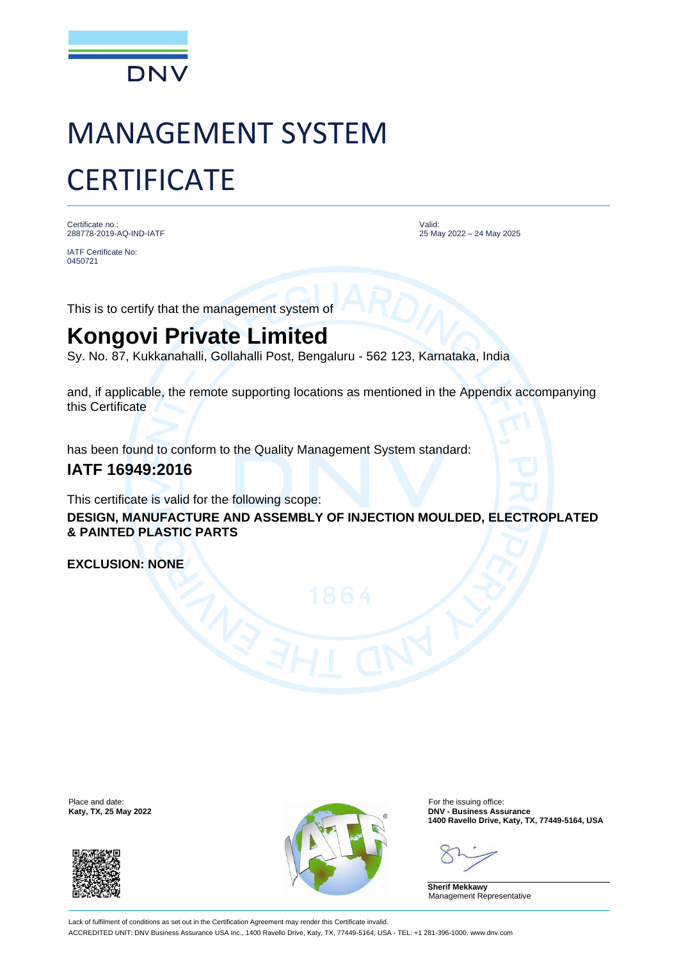

# MANAGEMENT SYSTEM **CERTIFICATE**

Certificate no.: 288778-2019-AQ-IND-IATF

IATF Certificate No: 0450721

Valid: 25 May 2022 – 24 May 2025

This is to certify that the management system of

## **Kongovi Private Limited**

Sy. No. 87, Kukkanahalli, Gollahalli Post, Bengaluru - 562 123, Karnataka, India

and, if applicable, the remote supporting locations as mentioned in the Appendix accompanying this Certificate

has been found to conform to the Quality Management System standard:

### **IATF 16949:2016**

This certificate is valid for the following scope:

**DESIGN, MANUFACTURE AND ASSEMBLY OF INJECTION MOULDED, ELECTROPLATED & PAINTED PLASTIC PARTS**

**EXCLUSION: NONE**





**Katy, TX, 25 May 2022 DNV - Business Assurance 1400 Ravello Drive, Katy, TX, 77449-5164, USA**

**Sherif Mekkawy** Management Representative

Lack of fulfilment of conditions as set out in the Certification Agreement may render this Certificate invalid. ACCREDITED UNIT: DNV Business Assurance USA Inc., 1400 Ravello Drive, Katy, TX, 77449-5164, USA - TEL: +1 281-396-1000. www.dnv.com